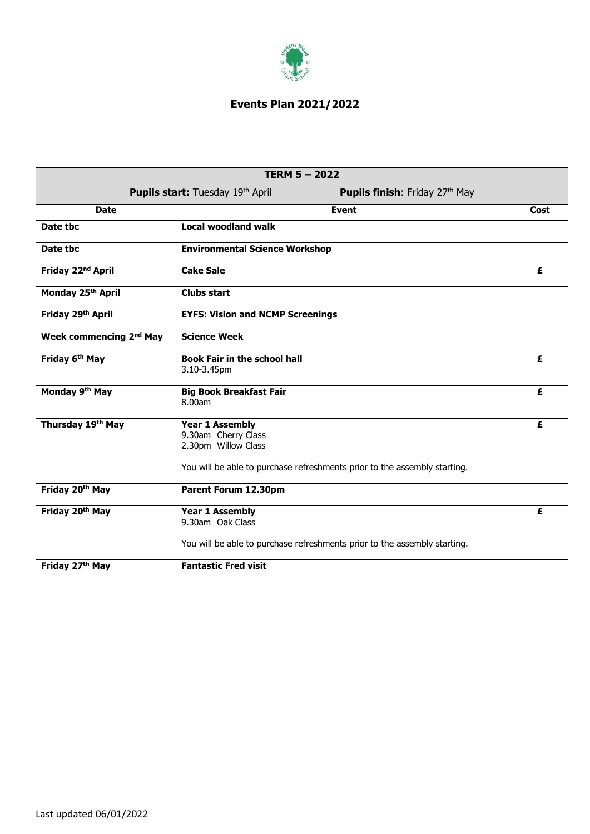

## **Events Plan 2021/2022**

| <b>TERM 5-2022</b>                  |                                                                                                                                                   |      |  |
|-------------------------------------|---------------------------------------------------------------------------------------------------------------------------------------------------|------|--|
|                                     | Pupils start: Tuesday 19th April<br><b>Pupils finish:</b> Friday 27th May                                                                         |      |  |
| <b>Date</b>                         | <b>Event</b>                                                                                                                                      | Cost |  |
| Date tbc                            | <b>Local woodland walk</b>                                                                                                                        |      |  |
| Date tbc                            | <b>Environmental Science Workshop</b>                                                                                                             |      |  |
| Friday 22 <sup>nd</sup> April       | <b>Cake Sale</b>                                                                                                                                  | £    |  |
| Monday 25th April                   | <b>Clubs start</b>                                                                                                                                |      |  |
| Friday 29th April                   | <b>EYFS: Vision and NCMP Screenings</b>                                                                                                           |      |  |
| Week commencing 2 <sup>nd</sup> May | <b>Science Week</b>                                                                                                                               |      |  |
| Friday 6 <sup>th</sup> May          | <b>Book Fair in the school hall</b><br>3.10-3.45pm                                                                                                | £    |  |
| Monday 9th May                      | <b>Big Book Breakfast Fair</b><br>8.00am                                                                                                          | £    |  |
| Thursday 19th May                   | <b>Year 1 Assembly</b><br>9.30am Cherry Class<br>2.30pm Willow Class<br>You will be able to purchase refreshments prior to the assembly starting. | £    |  |
| Friday 20th May                     | Parent Forum 12.30pm                                                                                                                              |      |  |
| Friday 20th May                     | <b>Year 1 Assembly</b><br>9.30am Oak Class<br>You will be able to purchase refreshments prior to the assembly starting.                           | £    |  |
| Friday 27th May                     | <b>Fantastic Fred visit</b>                                                                                                                       |      |  |